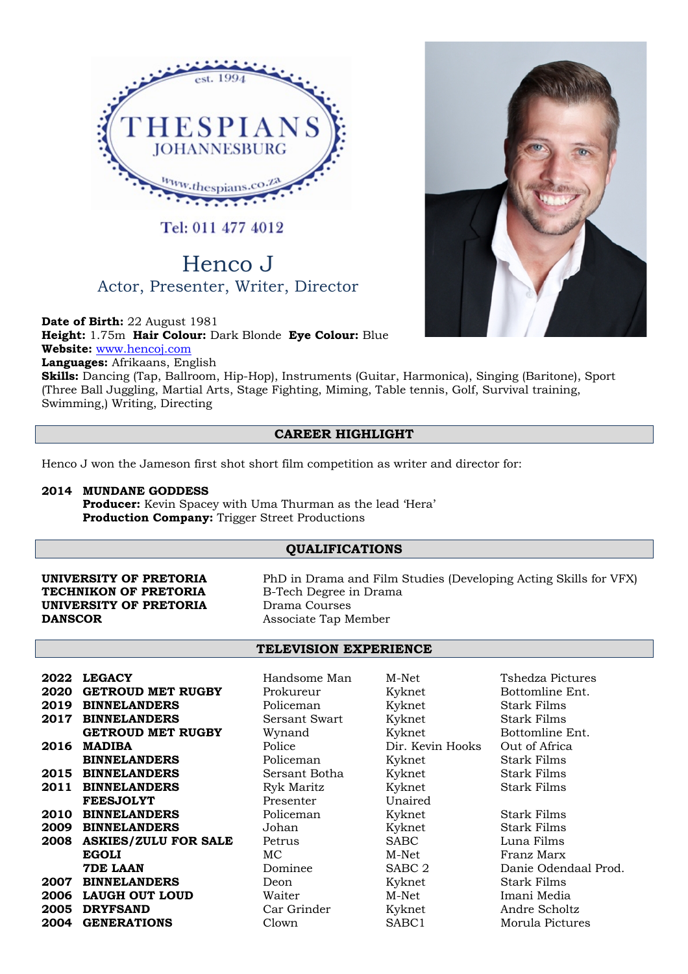

Tel: 011 477 4012

# Henco J Actor, Presenter, Writer, Director

**Date of Birth:** 22 August 1981 **Height:** 1.75m **Hair Colour:** Dark Blonde **Eye Colour:** Blue **Website:** www.hencoj.com **Languages:** Afrikaans, English

**Skills:** Dancing (Tap, Ballroom, Hip-Hop), Instruments (Guitar, Harmonica), Singing (Baritone), Sport (Three Ball Juggling, Martial Arts, Stage Fighting, Miming, Table tennis, Golf, Survival training, Swimming,) Writing, Directing

## **CAREER HIGHLIGHT**

Henco J won the Jameson first shot short film competition as writer and director for:

## **2014 MUNDANE GODDESS**

**Producer:** Kevin Spacey with Uma Thurman as the lead 'Hera' **Production Company:** Trigger Street Productions

## **QUALIFICATIONS**

## **TECHNIKON OF PRETORIA** B-Tech Degree in Drama **UNIVERSITY OF PRETORIA** Drama Courses **DANSCOR** Associate Tap Member

**UNIVERSITY OF PRETORIA** PhD in Drama and Film Studies (Developing Acting Skills for VFX)

### **TELEVISION EXPERIENCE**

| 2022 | <b>LEGACY</b>               | Handsome Man  | M-Net             | Tshedza Pic        |
|------|-----------------------------|---------------|-------------------|--------------------|
| 2020 | <b>GETROUD MET RUGBY</b>    | Prokureur     | Kyknet            | <b>Bottomline</b>  |
| 2019 | <b>BINNELANDERS</b>         | Policeman     | Kyknet            | Stark Films        |
| 2017 | <b>BINNELANDERS</b>         | Sersant Swart | Kyknet            | Stark Films        |
|      | <b>GETROUD MET RUGBY</b>    | Wynand        | Kyknet            | <b>Bottomline</b>  |
| 2016 | <b>MADIBA</b>               | Police        | Dir. Kevin Hooks  | Out of Afric       |
|      | <b>BINNELANDERS</b>         | Policeman     | Kyknet            | <b>Stark Films</b> |
|      | 2015 BINNELANDERS           | Sersant Botha | Kyknet            | Stark Films        |
| 2011 | <b>BINNELANDERS</b>         | Ryk Maritz    | Kyknet            | Stark Films        |
|      | <b>FEESJOLYT</b>            | Presenter     | Unaired           |                    |
| 2010 | <b>BINNELANDERS</b>         | Policeman     | Kyknet            | <b>Stark Films</b> |
|      | 2009 BINNELANDERS           | Johan         | Kyknet            | <b>Stark Films</b> |
| 2008 | <b>ASKIES/ZULU FOR SALE</b> | Petrus        | <b>SABC</b>       | Luna Films         |
|      | <b>EGOLI</b>                | МC            | M-Net             | Franz Marx         |
|      | <b>7DE LAAN</b>             | Dominee       | SABC <sub>2</sub> | Danie Oden         |
| 2007 | <b>BINNELANDERS</b>         | Deon          | Kyknet            | Stark Films        |
|      | 2006 LAUGH OUT LOUD         | Waiter        | M-Net             | Imani Media        |
| 2005 | <b>DRYFSAND</b>             | Car Grinder   | Kyknet            | Andre Scho         |
| 2004 | <b>GENERATIONS</b>          | Clown         | SABC1             | Morula Pict        |

Prokureur Kyknet Bottomline Ent.<br>
2021 - Enterprise Bottomline Ent.<br>
2022 - Enterprise Bottomline Ent.<br>
2022 - Kyknet Bottomline Ent. **2017 BINDERS** Sersant Swart Kyknet Stark Films Wynand Kyknet Bottomline Ent. Police **2016 Dir. Kevin Hooks** Out of Africa Policeman Kyknet Stark Films **2015 BINDERS** Sersant Botha Kyknet Stark Films **2011 BINNELANDERS BINNELANDERS BINNELANDERS BINNEL** Policeman Kyknet Stark Films **2009 BINNELANDERS** Johan Kyknet Stark Films **2008 Petrus 2008 SABC** Luna Films MC M-Net Franz Marx<br>
Dominee SABC 2 Danie Oden **2007** Beon Kyknet Stark Films **2006 LAUGH OUT LOUD** Waiter M-Net Imani Media **2005 Car Grinder Kyknet Andre Scholtz** 

**2022 LEGACY** Handsome Man M-Net Tshedza Pictures

**7Denie Odendaal Prod. 2004 GENERATIONS** Clown SABC1 Morula Pictures